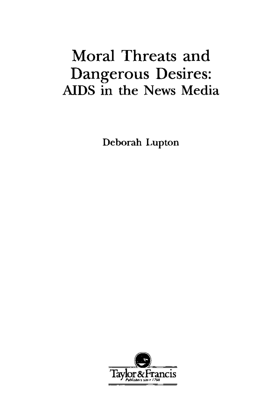## Moral Threats and Dangerous Desires: AIDS in the News Media

Deborah Lupton

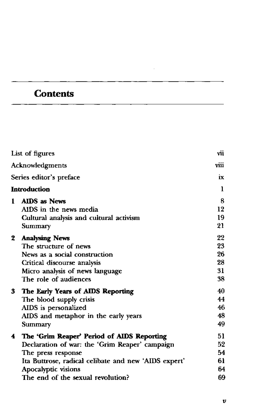## **Contents**

| List of figures<br>Acknowledgments |                                                                                                                                                                                                                                        | vii                              |
|------------------------------------|----------------------------------------------------------------------------------------------------------------------------------------------------------------------------------------------------------------------------------------|----------------------------------|
|                                    |                                                                                                                                                                                                                                        | viii                             |
|                                    | Series editor's preface<br>Introduction                                                                                                                                                                                                |                                  |
|                                    |                                                                                                                                                                                                                                        |                                  |
| 1.                                 | <b>AIDS</b> as News<br>AIDS in the news media<br>Cultural analysis and cultural activism<br>Summary                                                                                                                                    | 8<br>12<br>19<br>21              |
| 2                                  | <b>Analysing News</b><br>The structure of news<br>News as a social construction<br>Critical discourse analysis<br>Micro analysis of news language<br>The role of audiences                                                             | 22<br>23<br>26<br>28<br>31<br>38 |
| 3.                                 | The Early Years of AIDS Reporting<br>The blood supply crisis<br>AIDS is personalized<br>AIDS and metaphor in the early years<br>Summary                                                                                                | 40<br>44<br>46<br>48<br>49       |
| 4                                  | The 'Grim Reaper' Period of AIDS Reporting<br>Declaration of war: the 'Grim Reaper' campaign<br>The press response<br>Ita Buttrose, radical celibate and new 'AIDS expert'<br>Apocalyptic visions<br>The end of the sexual revolution? | 51<br>52<br>54<br>61<br>64<br>69 |

 $\ddot{\phantom{a}}$